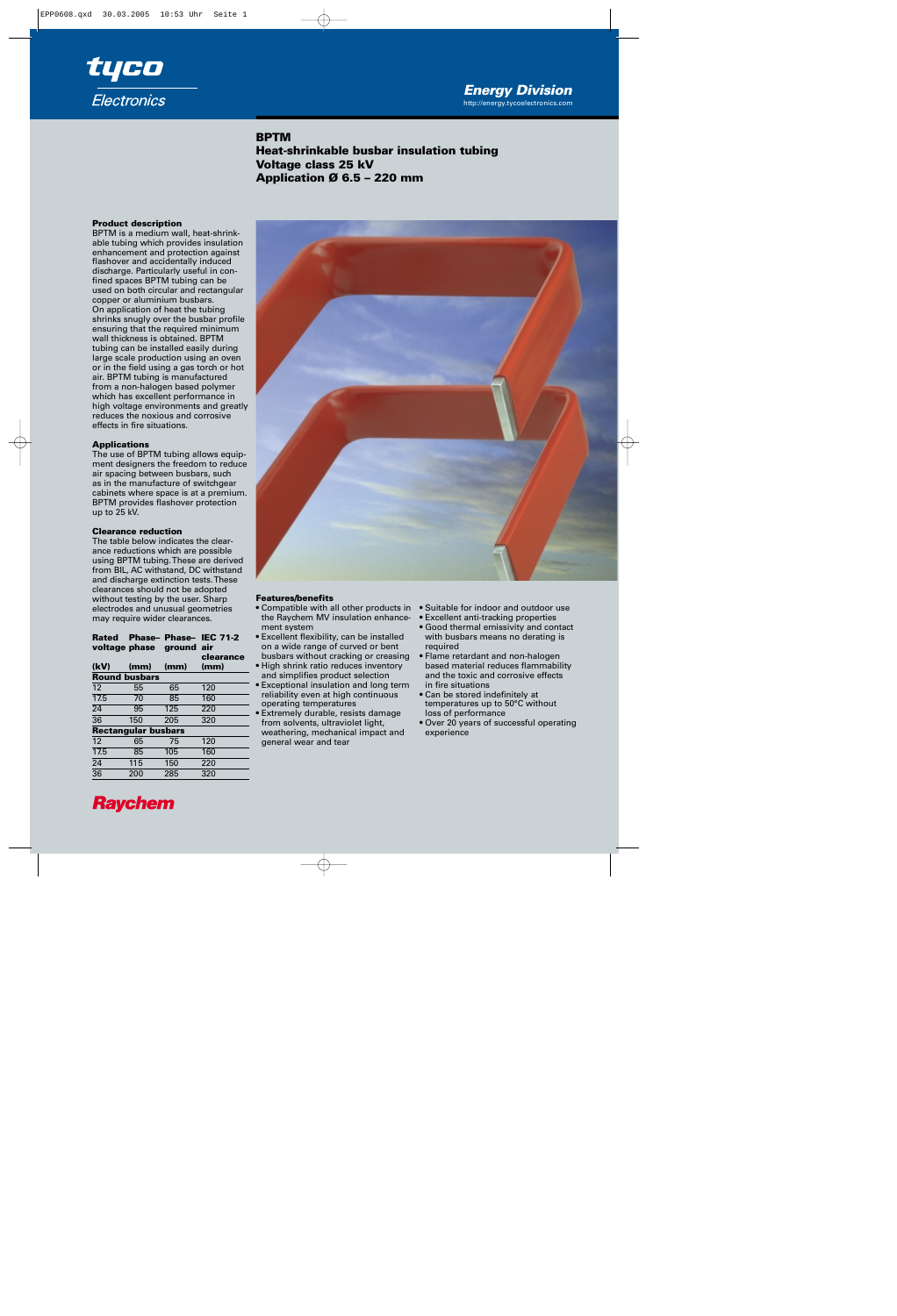

**BPTM Heat-shrinkable busbar insulation tubing Voltage class 25 kV Application Ø 6.5 – 220 mm**

# **Product description**

BPTM is a medium wall, heat-shrinkable tubing which provides insulation enhancement and protection against flashover and accidentally induced discharge. Particularly useful in confined spaces BPTM tubing can be used on both circular and rectangular copper or aluminium busbars. On application of heat the tubing shrinks snugly over the busbar profile ensuring that the required minimum wall thickness is obtained. BPTM tubing can be installed easily during large scale production using an oven or in the field using a gas torch or hot air. BPTM tubing is manufactured from a non-halogen based polymer which has excellent performance in high voltage environments and greatly reduces the noxious and corrosive effects in fire situations.

# **Applications**

The use of BPTM tubing allows equipment designers the freedom to reduce air spacing between busbars, such as in the manufacture of switchgear cabinets where space is at a premium. BPTM provides flashover protection up to 25 kV.

# **Clearance reduction**

The table below indicates the clearance reductions which are possible using BPTM tubing. These are derived from BIL, AC withstand, DC withstand and discharge extinction tests. These clearances should not be adopted without testing by the user. Sharp electrodes and unusual geometries may require wider clearances.

|  |                          | Rated Phase-Phase-IEC 71-2 |
|--|--------------------------|----------------------------|
|  | voltage phase ground air |                            |
|  |                          | clearance                  |

| (kV)                       | (mm)                 | (mm) | (mm) |  |
|----------------------------|----------------------|------|------|--|
|                            | <b>Round busbars</b> |      |      |  |
| 12                         | 55                   | 65   | 120  |  |
| $\overline{17.5}$          | 70                   | 85   | 160  |  |
| 24                         | 95                   | 125  | 220  |  |
| $\overline{36}$            | 150                  | 205  | 320  |  |
| <b>Rectangular busbars</b> |                      |      |      |  |
| 12                         | 65                   | 75   | 120  |  |
| 17.5                       | 85                   | 105  | 160  |  |
| 24                         | 115                  | 150  | 220  |  |
| $\overline{36}$            | 200                  | 285  | 320  |  |



## **Features/benefits**

- Compatible with all other products in the Raychem MV insulation enhancement system
- Excellent flexibility, can be installed on a wide range of curved or bent busbars without cracking or creasing
- High shrink ratio reduces inventory and simplifies product selection
- Exceptional insulation and long term reliability even at high continuous operating temperatures
- Extremely durable, resists damage from solvents, ultraviolet light, weathering, mechanical impact and general wear and tear
- Suitable for indoor and outdoor use
- Excellent anti-tracking properties
- Good thermal emissivity and contact with busbars means no derating is required
- Flame retardant and non-halogen based material reduces flammability and the toxic and corrosive effects in fire situations
- Can be stored indefinitely at temperatures up to 50°C without loss of performance
- Over 20 years of successful operating experience